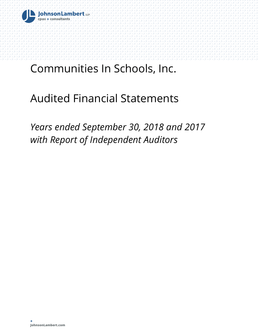

# Audited Financial Statements

*Years ended September 30, 2018 and 2017 with Report of Independent Auditors*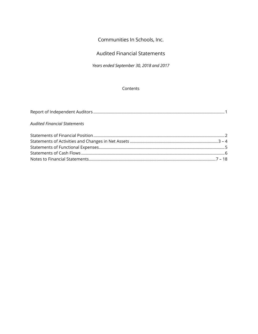# Audited Financial Statements

*Years ended September 30, 2018 and 2017* 

#### **Contents**

| <b>Audited Financial Statements</b> |  |
|-------------------------------------|--|
|                                     |  |
|                                     |  |
|                                     |  |

Statements of Cash Flows ................................................................................................................................. 6 Notes to Financial Statements .................................................................................................................. 7 – 18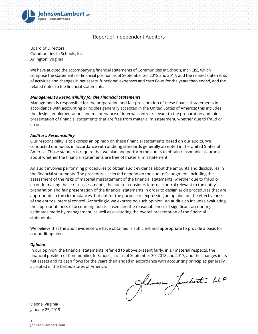

## Report of Independent Auditors

Board of Directors Communities In Schools, Inc. Arlington, Virginia

We have audited the accompanying financial statements of Communities In Schools, Inc. (CIS), which comprise the statements of financial position as of September 30, 2018 and 2017, and the related statements of activities and changes in net assets, functional expenses and cash flows for the years then ended, and the related notes to the financial statements.

#### *Management's Responsibility for the Financial Statements*

Management is responsible for the preparation and fair presentation of these financial statements in accordance with accounting principles generally accepted in the United States of America; this includes the design, implementation, and maintenance of internal control relevant to the preparation and fair presentation of financial statements that are free from material misstatement, whether due to fraud or error.

#### *Auditor's Responsibility*

Our responsibility is to express an opinion on these financial statements based on our audits. We conducted our audits in accordance with auditing standards generally accepted in the United States of America. Those standards require that we plan and perform the audits to obtain reasonable assurance about whether the financial statements are free of material misstatement.

An audit involves performing procedures to obtain audit evidence about the amounts and disclosures in the financial statements. The procedures selected depend on the auditor's judgment, including the assessment of the risks of material misstatement of the financial statements, whether due to fraud or error. In making those risk assessments, the auditor considers internal control relevant to the entity's preparation and fair presentation of the financial statements in order to design audit procedures that are appropriate in the circumstances, but not for the purpose of expressing an opinion on the effectiveness of the entity's internal control. Accordingly, we express no such opinion. An audit also includes evaluating the appropriateness of accounting policies used and the reasonableness of significant accounting estimates made by management, as well as evaluating the overall presentation of the financial statements.

We believe that the audit evidence we have obtained is sufficient and appropriate to provide a basis for our audit opinion.

#### *Opinion*

In our opinion, the financial statements referred to above present fairly, in all material respects, the financial position of Communities In Schools, Inc. as of September 30, 2018 and 2017, and the changes in its net assets and its cash flows for the years then ended in accordance with accounting principles generally accepted in the United States of America.

Johnson Jambert LLP

Vienna, Virginia January 25, 2019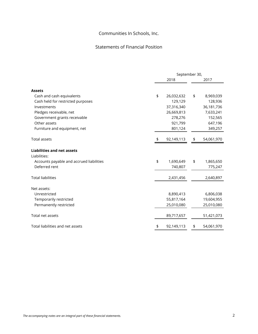# Statements of Financial Position

|                                                                                               | September 30, |            |    |            |  |  |  |
|-----------------------------------------------------------------------------------------------|---------------|------------|----|------------|--|--|--|
|                                                                                               |               | 2018       |    | 2017       |  |  |  |
| <b>Assets</b>                                                                                 |               |            |    |            |  |  |  |
| Cash and cash equivalents                                                                     | \$            | 26,032,632 | \$ | 8,969,039  |  |  |  |
| Cash held for restricted purposes                                                             |               | 129,129    |    | 128,936    |  |  |  |
| Investments                                                                                   |               | 37,316,340 |    | 36,181,736 |  |  |  |
| Pledges receivable, net                                                                       |               | 26,669,813 |    | 7,633,241  |  |  |  |
| Government grants receivable                                                                  |               | 278,276    |    | 152,565    |  |  |  |
| Other assets                                                                                  |               | 921,799    |    | 647,196    |  |  |  |
| Furniture and equipment, net                                                                  |               | 801,124    |    | 349,257    |  |  |  |
| <b>Total assets</b>                                                                           | \$            | 92,149,113 | \$ | 54,061,970 |  |  |  |
| <b>Liabilities and net assets</b><br>Liabilities:<br>Accounts payable and accrued liabilities | \$            | 1,690,649  | \$ | 1,865,650  |  |  |  |
| Deferred rent                                                                                 |               | 740,807    |    | 775,247    |  |  |  |
| <b>Total liabilities</b>                                                                      |               | 2,431,456  |    | 2,640,897  |  |  |  |
| Net assets:                                                                                   |               |            |    |            |  |  |  |
| Unrestricted                                                                                  |               | 8,890,413  |    | 6,806,038  |  |  |  |
| Temporarily restricted                                                                        |               | 55,817,164 |    | 19,604,955 |  |  |  |
| Permanently restricted                                                                        |               | 25,010,080 |    | 25,010,080 |  |  |  |
| Total net assets                                                                              |               | 89,717,657 |    | 51,421,073 |  |  |  |
| Total liabilities and net assets                                                              | \$            | 92,149,113 | \$ | 54,061,970 |  |  |  |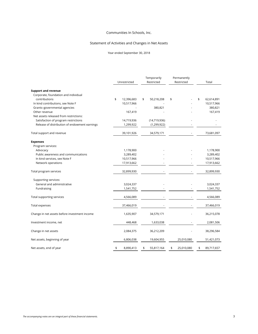#### Statement of Activities and Changes in Net Assets

Year ended September 30, 2018

|                                               | Unrestricted     |    | Temporarily<br>Restricted | Permanently<br>Restricted | Total            |
|-----------------------------------------------|------------------|----|---------------------------|---------------------------|------------------|
| <b>Support and revenue</b>                    |                  |    |                           |                           |                  |
| Corporate, foundation and individual          |                  |    |                           |                           |                  |
| contributions                                 | \$<br>12,396,683 | \$ | 50,218,208                | \$                        | \$<br>62,614,891 |
| In kind contributions, see Note F             | 10,517,966       |    |                           |                           | 10,517,966       |
| Grants-governmental agencies                  |                  |    | 380,821                   |                           | 380,821          |
| Other revenue                                 | 167,419          |    |                           |                           | 167,419          |
| Net assets released from restrictions:        |                  |    |                           |                           |                  |
| Satisfaction of program restrictions          | 14,719,936       |    | (14, 719, 936)            |                           |                  |
| Release of distribution of endowment earnings | 1,299,922        |    | (1, 299, 922)             |                           |                  |
| Total support and revenue                     | 39,101,926       |    | 34,579,171                |                           | 73,681,097       |
| <b>Expenses</b>                               |                  |    |                           |                           |                  |
| Program services:                             |                  |    |                           |                           |                  |
| Advocacy                                      | 1,178,900        |    |                           |                           | 1,178,900        |
| Public awareness and communications           | 3,289,402        |    |                           |                           | 3,289,402        |
| In kind services, see Note F                  | 10,517,966       |    |                           |                           | 10,517,966       |
| Network operations                            | 17,913,662       |    |                           |                           | 17,913,662       |
| Total program services                        | 32,899,930       |    |                           |                           | 32,899,930       |
| Supporting services:                          |                  |    |                           |                           |                  |
| General and administrative                    | 3,024,337        |    |                           |                           | 3,024,337        |
| Fundraising                                   | 1,541,752        |    |                           |                           | 1,541,752        |
| Total supporting services                     | 4,566,089        |    |                           |                           | 4,566,089        |
| Total expenses                                | 37,466,019       |    |                           |                           | 37,466,019       |
| Change in net assets before investment income | 1,635,907        |    | 34,579,171                |                           | 36,215,078       |
| Investment income, net                        | 448,468          |    | 1,633,038                 |                           | 2,081,506        |
| Change in net assets                          | 2,084,375        |    | 36,212,209                |                           | 38,296,584       |
| Net assets, beginning of year                 | 6,806,038        |    | 19,604,955                | 25,010,080                | 51,421,073       |
| Net assets, end of year                       | \$<br>8,890,413  | \$ | 55,817,164                | \$<br>25,010,080          | \$<br>89,717,657 |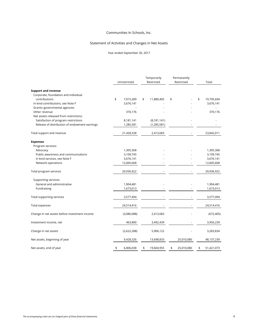#### Statement of Activities and Changes in Net Assets

Year ended September 30, 2017

|                                               | Unrestricted |             | Temporarily<br>Restricted | Permanently<br>Restricted | Total            |
|-----------------------------------------------|--------------|-------------|---------------------------|---------------------------|------------------|
| <b>Support and revenue</b>                    |              |             |                           |                           |                  |
| Corporate, foundation and individual          |              |             |                           |                           |                  |
| contributions                                 | \$           | 7,915,289   | \$<br>11,880,405          | \$                        | \$<br>19,795,694 |
| In kind contributions, see Note F             |              | 3,676,141   |                           |                           | 3,676,141        |
| Grants-governmental agencies                  |              |             |                           |                           |                  |
| Other revenue                                 |              | 370,176     |                           |                           | 370,176          |
| Net assets released from restrictions:        |              |             |                           |                           |                  |
| Satisfaction of program restrictions          |              | 8,181,141   | (8, 181, 141)             |                           |                  |
| Release of distribution of endowment earnings |              | 1,285,581   | (1, 285, 581)             |                           |                  |
| Total support and revenue                     |              | 21,428,328  | 2,413,683                 |                           | 23,842,011       |
| <b>Expenses</b>                               |              |             |                           |                           |                  |
| Program services:                             |              |             |                           |                           |                  |
| Advocacy                                      |              | 1,305,368   |                           |                           | 1,305,368        |
| Public awareness and communications           |              | 3,109,745   |                           |                           | 3,109,745        |
| In kind services, see Note F                  |              | 3,676,141   |                           |                           | 3,676,141        |
| Network operations                            |              | 12,845,668  |                           |                           | 12,845,668       |
| Total program services                        |              | 20,936,922  |                           |                           | 20,936,922       |
| Supporting services:                          |              |             |                           |                           |                  |
| General and administrative                    |              | 1,904,481   |                           |                           | 1,904,481        |
| Fundraising                                   |              | 1,673,013   |                           |                           | 1,673,013        |
| Total supporting services                     |              | 3,577,494   |                           |                           | 3,577,494        |
| <b>Total expenses</b>                         |              | 24,514,416  |                           |                           | 24,514,416       |
| Change in net assets before investment income |              | (3,086,088) | 2,413,683                 |                           | (672, 405)       |
| Investment income, net                        |              | 463,800     | 3,492,439                 |                           | 3,956,239        |
| Change in net assets                          |              | (2,622,288) | 5,906,122                 |                           | 3,283,834        |
| Net assets, beginning of year                 |              | 9,428,326   | 13,698,833                | 25,010,080                | 48,137,239       |
| Net assets, end of year                       | \$           | 6,806,038   | \$<br>19,604,955          | \$<br>25,010,080          | \$<br>51,421,073 |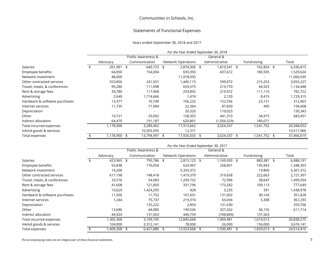#### Statements of Functional Expenses

#### Years ended September 30, 2018 and 2017

|                               | For the Year Ended September 30, 2018 |    |                    |    |                           |  |                |  |              |  |            |
|-------------------------------|---------------------------------------|----|--------------------|----|---------------------------|--|----------------|--|--------------|--|------------|
|                               |                                       |    | Public Awareness & |    |                           |  | General &      |  |              |  |            |
|                               | Advocacy                              |    | Communication      |    | <b>Network Operations</b> |  | Administrative |  | Fundraising  |  | Total      |
| <b>Salaries</b>               | 261,991                               | \$ | 640,723            | \$ | 2,874,306 \$              |  | 1,810,541 \$   |  | 742,854 \$   |  | 6,330,415  |
| Employee benefits             | 64,050                                |    | 154,004            |    | 693,393                   |  | 437,672        |  | 180,505      |  | 1,529,624  |
| Network investment            | 48,000                                |    |                    |    | 11,018,035                |  |                |  |              |  | 11,066,035 |
| Other contracted services     | 553,856                               |    | 241,931            |    | 1,445,115                 |  | 599,072        |  | 215,253      |  | 3,055,227  |
| Travel, meals, & conferences  | 99,280                                |    | 111,098            |    | 659,375                   |  | 219,770        |  | 44,925       |  | 1,134,448  |
| Rent & storage fees           | 39,780                                |    | 117,968            |    | 293,892                   |  | 219,972        |  | 111,110      |  | 782,722    |
| Advertising                   | 2,640                                 |    | 1,714,666          |    | 1,474                     |  | 2,120          |  | 8,415        |  | 1,729,315  |
| Hardware & software purchases | 13,377                                |    | 16,749             |    | 106,232                   |  | 152,556        |  | 23,151       |  | 312,065    |
| Internet services             | 11,735                                |    | 71,984             |    | 22,364                    |  | 87,830         |  | 495          |  | 194,408    |
| Depreciation                  |                                       |    |                    |    | 20,320                    |  | 110,023        |  |              |  | 130,343    |
| Other                         | 19,721                                |    | 29,092             |    | 158,355                   |  | 441,310        |  | 34,973       |  | 683,451    |
| Indirect allocation           | 64,470                                |    | 191,187            |    | 620,801                   |  | (1,056,529)    |  | 180,071      |  |            |
| Total incurred expenses       | 1,178,900                             |    | 3,289,402          |    | 17,913,662                |  | 3,024,337      |  | 1,541,752    |  | 26,948,053 |
| Inkind goods & services       |                                       |    | 10,505,595         |    | 12,371                    |  |                |  |              |  | 10,517,966 |
| Total expenses                | 1,178,900                             | \$ | 13,794,997         |    | 17,926,033                |  | 3,024,337      |  | 1,541,752 \$ |  | 37,466,019 |

|                               |           |                    |              | For the Year Ended September 30, 2017 |                |              |            |
|-------------------------------|-----------|--------------------|--------------|---------------------------------------|----------------|--------------|------------|
|                               |           | Public Awareness & |              |                                       | General &      |              |            |
|                               | Advocacy  | Communication      |              | <b>Network Operations</b>             | Administrative | Fundraising  | Total      |
| <b>Salaries</b>               | 423,965   | \$                 | 795,786 \$   | 2,815,123 \$                          | 1,169,930 \$   | 883,387 \$   | 6,088,191  |
| Employee benefits             | 92,838    |                    | 176,054      | 624,967                               | 258,601        | 195,843      | 1,348,303  |
| Network investment            | 14,200    |                    |              | 5,333,372                             |                | 19,800       | 5,367,372  |
| Other contracted services     | 617,198   |                    | 148,418      | 1,419,370                             | 319,658        | 222,663      | 2,727,307  |
| Travel, meals, & conferences  | 33,576    |                    | 54,983       | 1,299,732                             | 72,996         | 38,647       | 1,499,934  |
| Rent & storage fees           | 41,608    |                    | 121,850      | 331,796                               | 173,282        | 109,113      | 777,649    |
| Advertising                   | 10,629    |                    | 1,424,295    | 428                                   | 3,235          | 391          | 1,438,978  |
| Hardware & software purchases | 11,500    |                    | 11,752       | 167,431                               | 131,002        | 30,143       | 351,828    |
| Internet services             | 244. ا    |                    | 75,737       | 219,310                               | 65,694         | 5,308        | 367,293    |
| Depreciation                  |           |                    | 125,222      | 2,854                                 | 131,630        |              | 259,706    |
| Other                         | 13,686    |                    | 44,085       | 190,526                               | 327,262        | 36,155       | 611,714    |
| Indirect allocation           | 44,924    |                    | 131,563      | 440,759                               | (748,809)      | 131,563      |            |
| Total incurred expenses       | ,305,368  |                    | 3,109,745    | 12,845,668                            | 1,904,481      | 1,673,013    | 20,838,275 |
| Inkind goods & services       | 104,000   |                    | 3,312,141    | 78,000                                | 26,000         | 156,000      | 3,676,141  |
| Total expenses                | 1,409,368 | \$                 | 6,421,886 \$ | 12,923,668 \$                         | 1,930,481      | 1,829,013 \$ | 24,514,416 |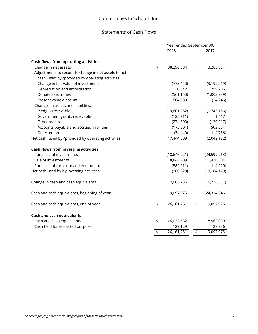# Statements of Cash Flows

|                                                      | Year ended September 30, |                 |
|------------------------------------------------------|--------------------------|-----------------|
|                                                      | 2018                     | 2017            |
| <b>Cash flows from operating activities</b>          |                          |                 |
| Change in net assets                                 | \$<br>38,296,584         | \$<br>3,283,834 |
| Adjustments to reconcile change in net assets to net |                          |                 |
| cash (used by)/provided by operating activities:     |                          |                 |
| Change in fair value of investments                  | (775, 440)               | (3, 192, 219)   |
| Depreciation and amortization                        | 130,342                  | 259,706         |
| Donated securities                                   | (561, 150)               | (1,003,989)     |
| Present value discount                               | 564,680                  | (14, 246)       |
| Changes in assets and liabilities:                   |                          |                 |
| Pledges receivable                                   | (19,601,252)             | (1,745,186)     |
| Government grants receivable                         | (125, 711)               | 1,417           |
| Other assets                                         | (274, 603)               | (120, 317)      |
| Accounts payable and accrued liabilities             | (175,001)                | 503,564         |
| Deferred rent                                        | (34, 440)                | (14, 756)       |
| Net cash (used by)/provided by operating activities  | 17,444,009               | (2,042,192)     |
| <b>Cash flows from investing activities</b>          |                          |                 |
| Purchase of investments                              | (18, 646, 921)           | (24, 599, 763)  |
| Sale of investments                                  | 18,848,909               | 11,430,504      |
| Purchase of furniture and equipment                  | (582, 211)               | (14, 920)       |
| Net cash used by by investing activities             | (380, 223)               | (13, 184, 179)  |
| Change in cash and cash equivalents                  | 17,063,786               | (15, 226, 371)  |
| Cash and cash equivalents, beginning of year         | 9,097,975                | 24,324,346      |
| Cash and cash equivalents, end of year               | \$<br>26,161,761         | \$<br>9,097,975 |
| <b>Cash and cash equivalents</b>                     |                          |                 |
| Cash and cash equivalents                            | \$<br>26,032,632         | \$<br>8,969,039 |
| Cash held for restricted purpose                     | 129,129                  | 128,936         |
|                                                      | \$<br>26,161,761         | \$<br>9,097,975 |
|                                                      |                          |                 |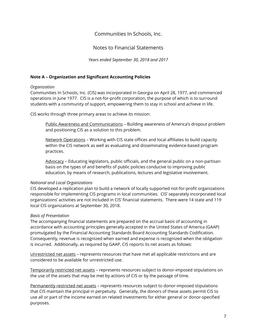Notes to Financial Statements

*Years ended September 30, 2018 and 2017* 

## **Note A – Organization and Significant Accounting Policies**

## *Organization*

Communities In Schools, Inc. (CIS) was incorporated in Georgia on April 28, 1977, and commenced operations in June 1977. CIS is a not-for-profit corporation, the purpose of which is to surround students with a community of support, empowering them to stay in school and achieve in life.

CIS works through three primary areas to achieve its mission:

Public Awareness and Communications – Building awareness of America's dropout problem and positioning CIS as a solution to this problem.

Network Operations – Working with CIS state offices and local affiliates to build capacity within the CIS network as well as evaluating and disseminating evidence-based program practices.

Advocacy – Educating legislators, public officials, and the general public on a non-partisan basis on the types of and benefits of public policies conducive to improving public education, by means of research, publications, lectures and legislative involvement.

## *National and Local Organizations*

CIS developed a replication plan to build a network of locally supported not-for-profit organizations responsible for implementing CIS programs in local communities. CIS' separately incorporated local organizations' activities are not included in CIS' financial statements. There were 14 state and 119 local CIS organizations at September 30, 2018.

## *Basis of Presentation*

The accompanying financial statements are prepared on the accrual basis of accounting in accordance with accounting principles generally accepted in the United States of America (GAAP) promulgated by the Financial Accounting Standards Board Accounting Standards Codification. Consequently, revenue is recognized when earned and expense is recognized when the obligation is incurred. Additionally, as required by GAAP, CIS reports its net assets as follows:

Unrestricted net assets – represents resources that have met all applicable restrictions and are considered to be available for unrestricted use.

Temporarily restricted net assets – represents resources subject to donor-imposed stipulations on the use of the assets that may be met by actions of CIS or by the passage of time.

Permanently restricted net assets – represents resources subject to donor-imposed stipulations that CIS maintain the principal in perpetuity. Generally, the donors of these assets permit CIS to use all or part of the income earned on related investments for either general or donor-specified purposes.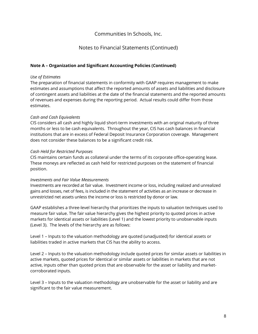# Notes to Financial Statements (Continued)

## **Note A – Organization and Significant Accounting Policies (Continued)**

## *Use of Estimates*

The preparation of financial statements in conformity with GAAP requires management to make estimates and assumptions that affect the reported amounts of assets and liabilities and disclosure of contingent assets and liabilities at the date of the financial statements and the reported amounts of revenues and expenses during the reporting period. Actual results could differ from those estimates.

## *Cash and Cash Equivalents*

CIS considers all cash and highly liquid short-term investments with an original maturity of three months or less to be cash equivalents. Throughout the year, CIS has cash balances in financial institutions that are in excess of Federal Deposit Insurance Corporation coverage. Management does not consider these balances to be a significant credit risk.

#### *Cash Held for Restricted Purposes*

CIS maintains certain funds as collateral under the terms of its corporate office-operating lease. These moneys are reflected as cash held for restricted purposes on the statement of financial position.

#### *Investments and Fair Value Measurements*

Investments are recorded at fair value. Investment income or loss, including realized and unrealized gains and losses, net of fees, is included in the statement of activities as an increase or decrease in unrestricted net assets unless the income or loss is restricted by donor or law.

GAAP establishes a three-level hierarchy that prioritizes the inputs to valuation techniques used to measure fair value. The fair value hierarchy gives the highest priority to quoted prices in active markets for identical assets or liabilities (Level 1) and the lowest priority to unobservable inputs (Level 3). The levels of the hierarchy are as follows:

Level 1 – Inputs to the valuation methodology are quoted (unadjusted) for identical assets or liabilities traded in active markets that CIS has the ability to access.

Level 2 – Inputs to the valuation methodology include quoted prices for similar assets or liabilities in active markets, quoted prices for identical or similar assets or liabilities in markets that are not active, inputs other than quoted prices that are observable for the asset or liability and marketcorroborated inputs.

Level 3 – Inputs to the valuation methodology are unobservable for the asset or liability and are significant to the fair value measurement.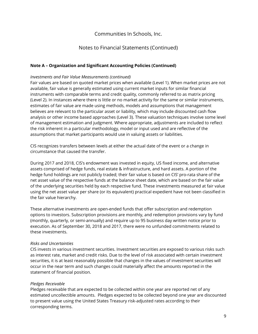# Notes to Financial Statements (Continued)

## **Note A – Organization and Significant Accounting Policies (Continued)**

#### *Investments and Fair Value Measurements (continued)*

Fair values are based on quoted market prices when available (Level 1). When market prices are not available, fair value is generally estimated using current market inputs for similar financial instruments with comparable terms and credit quality, commonly referred to as matrix pricing (Level 2). In instances where there is little or no market activity for the same or similar instruments, estimates of fair value are made using methods, models and assumptions that management believes are relevant to the particular asset or liability, which may include discounted cash flow analysis or other income based approaches (Level 3). These valuation techniques involve some level of management estimation and judgment. Where appropriate, adjustments are included to reflect the risk inherent in a particular methodology, model or input used and are reflective of the assumptions that market participants would use in valuing assets or liabilities.

CIS recognizes transfers between levels at either the actual date of the event or a change in circumstance that caused the transfer.

During 2017 and 2018, CIS's endowment was invested in equity, US fixed income, and alternative assets comprised of hedge funds, real estate & infrastructure, and hard assets. A portion of the hedge fund holdings are not publicly traded; their fair value is based on CIS' pro-rata share of the net asset value of the respective funds at the balance sheet date, which are based on the fair value of the underlying securities held by each respective fund. These investments measured at fair value using the net asset value per share (or its equivalent) practical expedient have not been classified in the fair value hierarchy.

These alternative investments are open-ended funds that offer subscription and redemption options to investors. Subscription provisions are monthly, and redemption provisions vary by fund (monthly, quarterly, or semi-annually) and require up to 95 business day written notice prior to execution. As of September 30, 2018 and 2017, there were no unfunded commitments related to these investments.

#### *Risks and Uncertainties*

CIS invests in various investment securities. Investment securities are exposed to various risks such as interest rate, market and credit risks. Due to the level of risk associated with certain investment securities, it is at least reasonably possible that changes in the values of investment securities will occur in the near term and such changes could materially affect the amounts reported in the statement of financial position.

#### *Pledges Receivable*

Pledges receivable that are expected to be collected within one year are reported net of any estimated uncollectible amounts. Pledges expected to be collected beyond one year are discounted to present value using the United States Treasury risk-adjusted rates according to their corresponding terms.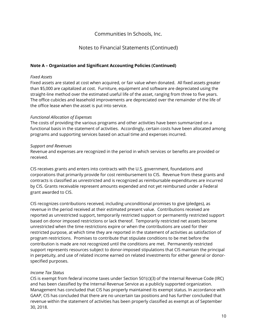# Notes to Financial Statements (Continued)

## **Note A – Organization and Significant Accounting Policies (Continued)**

#### *Fixed Assets*

Fixed assets are stated at cost when acquired, or fair value when donated. All fixed assets greater than \$5,000 are capitalized at cost. Furniture, equipment and software are depreciated using the straight-line method over the estimated useful life of the asset, ranging from three to five years. The office cubicles and leasehold improvements are depreciated over the remainder of the life of the office lease when the asset is put into service.

#### *Functional Allocation of Expenses*

The costs of providing the various programs and other activities have been summarized on a functional basis in the statement of activities. Accordingly, certain costs have been allocated among programs and supporting services based on actual time and expenses incurred.

#### *Support and Revenues*

Revenue and expenses are recognized in the period in which services or benefits are provided or received.

CIS receives grants and enters into contracts with the U.S. government, foundations and corporations that primarily provide for cost reimbursement to CIS. Revenue from these grants and contracts is classified as unrestricted and is recognized as reimbursable expenditures are incurred by CIS. Grants receivable represent amounts expended and not yet reimbursed under a Federal grant awarded to CIS.

CIS recognizes contributions received, including unconditional promises to give (pledges), as revenue in the period received at their estimated present value. Contributions received are reported as unrestricted support, temporarily restricted support or permanently restricted support based on donor imposed restrictions or lack thereof. Temporarily restricted net assets become unrestricted when the time restrictions expire or when the contributions are used for their restricted purpose, at which time they are reported in the statement of activities as satisfaction of program restrictions. Promises to contribute that stipulate conditions to be met before the contribution is made are not recognized until the conditions are met. Permanently restricted support represents resources subject to donor-imposed stipulations that CIS maintain the principal in perpetuity, and use of related income earned on related investments for either general or donorspecified purposes.

#### *Income Tax Status*

CIS is exempt from federal income taxes under Section 501(c)(3) of the Internal Revenue Code (IRC) and has been classified by the Internal Revenue Service as a publicly supported organization. Management has concluded that CIS has properly maintained its exempt status. In accordance with GAAP, CIS has concluded that there are no uncertain tax positions and has further concluded that revenue within the statement of activities has been properly classified as exempt as of September 30, 2018.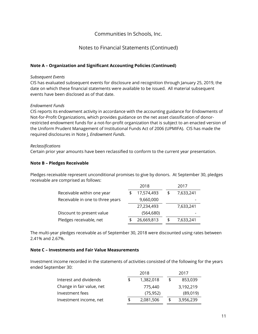# Notes to Financial Statements (Continued)

## **Note A – Organization and Significant Accounting Policies (Continued)**

#### *Subsequent Events*

CIS has evaluated subsequent events for disclosure and recognition through January 25, 2019, the date on which these financial statements were available to be issued. All material subsequent events have been disclosed as of that date.

## *Endowment Funds*

CIS reports its endowment activity in accordance with the accounting guidance for Endowments of Not-for-Profit Organizations, which provides guidance on the net asset classification of donorrestricted endowment funds for a not-for-profit organization that is subject to an enacted version of the Uniform Prudent Management of Institutional Funds Act of 2006 (UPMIFA). CIS has made the required disclosures in Note J, *Endowment Funds*.

#### *Reclassifications*

Certain prior year amounts have been reclassified to conform to the current year presentation.

## **Note B – Pledges Receivable**

Pledges receivable represent unconditional promises to give by donors. At September 30, pledges receivable are comprised as follows:

|                                  | 2018       | 2017      |
|----------------------------------|------------|-----------|
| Receivable within one year       | 17,574,493 | 7,633,241 |
| Receivable in one to three years | 9,660,000  |           |
|                                  | 27,234,493 | 7,633,241 |
| Discount to present value        | (564,680)  |           |
| Pledges receivable, net          | 26,669,813 | 7,633,241 |

The multi-year pledges receivable as of September 30, 2018 were discounted using rates between 2.41% and 2.67%.

#### **Note C – Investments and Fair Value Measurements**

Investment income recorded in the statements of activities consisted of the following for the years ended September 30:

|                           | 2018      | 2017 |           |  |  |
|---------------------------|-----------|------|-----------|--|--|
| Interest and dividends    | 1,382,018 | £    | 853,039   |  |  |
| Change in fair value, net | 775,440   |      | 3,192,219 |  |  |
| Investment fees           | (75, 952) |      | (89,019)  |  |  |
| Investment income, net    | 2,081,506 | S    | 3,956,239 |  |  |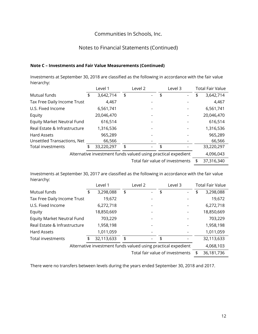# Notes to Financial Statements (Continued)

## **Note C – Investments and Fair Value Measurements (Continued)**

Investments at September 30, 2018 are classified as the following in accordance with the fair value hierarchy:

|                                   | Level 1         | Level 2                                                       | Level 3 | <b>Total Fair Value</b> |
|-----------------------------------|-----------------|---------------------------------------------------------------|---------|-------------------------|
| Mutual funds                      | \$<br>3,642,714 | \$<br>$\overline{\phantom{0}}$                                | \$<br>- | \$<br>3,642,714         |
| Tax Free Daily Income Trust       | 4,467           |                                                               |         | 4,467                   |
| U.S. Fixed Income                 | 6,561,741       |                                                               |         | 6,561,741               |
| Equity                            | 20,046,470      |                                                               |         | 20,046,470              |
| <b>Equity Market Neutral Fund</b> | 616,514         |                                                               |         | 616,514                 |
| Real Estate & Infrastructure      | 1,316,536       |                                                               |         | 1,316,536               |
| Hard Assets                       | 965,289         |                                                               |         | 965,289                 |
| Unsettled Transactions, Net       | 66,566          |                                                               |         | 66,566                  |
| Total investments                 | 33,220,297      | \$                                                            | \$      | 33,220,297              |
|                                   |                 | Alternative investment funds valued using practical expedient |         | 4,096,043               |
|                                   |                 |                                                               |         | 37 34 C 340             |

Total fair value of investments \$ 37,316,340

Investments at September 30, 2017 are classified as the following in accordance with the fair value hierarchy:

|                                                               |    | Level 1<br>Level 3<br>Level 2 |    |  |    |   | <b>Total Fair Value</b> |            |  |  |
|---------------------------------------------------------------|----|-------------------------------|----|--|----|---|-------------------------|------------|--|--|
| Mutual funds                                                  | \$ | 3,298,088                     | \$ |  | \$ | - | \$                      | 3,298,088  |  |  |
| Tax Free Daily Income Trust                                   |    | 19,672                        |    |  |    |   |                         | 19,672     |  |  |
| U.S. Fixed Income                                             |    | 6,272,718                     |    |  |    |   |                         | 6,272,718  |  |  |
| Equity                                                        |    | 18,850,669                    |    |  |    |   |                         | 18,850,669 |  |  |
| <b>Equity Market Neutral Fund</b>                             |    | 703,229                       |    |  |    |   |                         | 703,229    |  |  |
| Real Estate & Infrastructure                                  |    | 1,958,198                     |    |  |    |   |                         | 1,958,198  |  |  |
| Hard Assets                                                   |    | 1,011,059                     |    |  |    |   |                         | 1,011,059  |  |  |
| <b>Total investments</b>                                      | \$ | 32,113,633                    | \$ |  | \$ |   |                         | 32,113,633 |  |  |
| Alternative investment funds valued using practical expedient |    |                               |    |  |    |   |                         | 4,068,103  |  |  |
| Total fair value of investments                               |    |                               |    |  |    |   | 36,181,736              |            |  |  |

There were no transfers between levels during the years ended September 30, 2018 and 2017.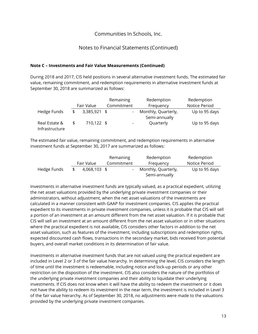# Notes to Financial Statements (Continued)

## **Note C – Investments and Fair Value Measurements (Continued)**

During 2018 and 2017, CIS held positions in several alternative investment funds. The estimated fair value, remaining commitment, and redemption requirements in alternative investment funds at September 30, 2018 are summarized as follows:

|                                 |                    | Remaining                | Redemption                           | Redemption    |
|---------------------------------|--------------------|--------------------------|--------------------------------------|---------------|
|                                 | Fair Value         | Commitment               | Frequency                            | Notice Period |
| Hedge Funds                     | \$<br>3,385,921 \$ |                          | Monthly, Quarterly,<br>Semi-annually | Up to 95 days |
| Real Estate &<br>Infrastructure | 710,122 \$         | $\overline{\phantom{a}}$ | Quarterly                            | Up to 95 days |

The estimated fair value, remaining commitment, and redemption requirements in alternative investment funds at September 30, 2017 are summarized as follows:

|             |              | Remaining  | Redemption                           | Redemption    |
|-------------|--------------|------------|--------------------------------------|---------------|
|             | Fair Value   | Commitment | Frequency                            | Notice Period |
| Hedge Funds | 4,068,103 \$ |            | Monthly, Quarterly,<br>Semi-annually | Up to 95 days |

Investments in alternative investment funds are typically valued, as a practical expedient, utilizing the net asset valuations provided by the underlying private investment companies or their administrators, without adjustment, when the net asset valuations of the investments are calculated in a manner consistent with GAAP for investment companies. CIS applies the practical expedient to its investments in private investment companies, unless it is probable that CIS will sell a portion of an investment at an amount different from the net asset valuation. If it is probable that CIS will sell an investment at an amount different from the net asset valuation or in other situations where the practical expedient is not available, CIS considers other factors in addition to the net asset valuation, such as features of the investment, including subscriptions and redemption rights, expected discounted cash flows, transactions in the secondary market, bids received from potential buyers, and overall market conditions in its determination of fair value.

Investments in alternative investment funds that are not valued using the practical expedient are included in Level 2 or 3 of the fair value hierarchy. In determining the level, CIS considers the length of time until the investment is redeemable, including notice and lock-up periods or any other restriction on the disposition of the investment. CIS also considers the nature of the portfolios of the underlying private investment companies and their ability to liquidate their underlying investments. If CIS does not know when it will have the ability to redeem the investment or it does not have the ability to redeem its investment in the near term, the investment is included in Level 3 of the fair value hierarchy. As of September 30, 2018, no adjustments were made to the valuations provided by the underlying private investment companies.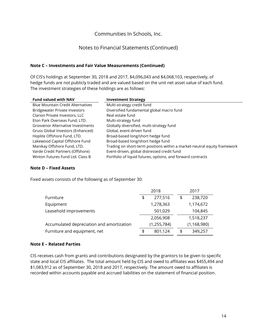## Notes to Financial Statements (Continued)

#### **Note C – Investments and Fair Value Measurements (Continued)**

Of CIS's holdings at September 30, 2018 and 2017, \$4,096,043 and \$4,068,103, respectively, of hedge funds are not publicly traded and are valued based on the unit net asset value of each fund. The investment strategies of these holdings are as follows:

| <b>Fund valued with NAV</b>              | <b>Investment Strategy</b>                                               |  |  |  |  |
|------------------------------------------|--------------------------------------------------------------------------|--|--|--|--|
| <b>Blue Mountain Credit Alternatives</b> | Multi-strategy credit fund                                               |  |  |  |  |
| <b>Bridgewater Private Investors</b>     | Diversified fundamental global macro fund                                |  |  |  |  |
| Clarion Private Investors, LLC           | Real estate fund                                                         |  |  |  |  |
| Eton Park Overseas Fund, LTD.            | Multi-strategy fund                                                      |  |  |  |  |
| <b>Grosvenor Alternative Investments</b> | Globally diversified, multi-strategy fund                                |  |  |  |  |
| Gruss Global Investors (Enhanced)        | Global, event-driven fund                                                |  |  |  |  |
| Hoplite Offshore Fund, LTD.              | Broad-based long/short hedge fund                                        |  |  |  |  |
| Lakewood Capital Offshore Fund           | Broad-based long/short hedge fund                                        |  |  |  |  |
| Manikay Offshore Fund, LTD.              | Trading on short-term positions within a market-neutral equity framework |  |  |  |  |
| Varde Credit Partners (Offshore)         | Event-driven, global distressed credit fund                              |  |  |  |  |
| Winton Futures Fund Ltd. Class B         | Portfolio of liquid futures, options, and forward contracts              |  |  |  |  |

#### **Note D – Fixed Assets**

Fixed assets consists of the following as of September 30:

|                                           |    | 2018          |  | 2017 |               |
|-------------------------------------------|----|---------------|--|------|---------------|
| Furniture                                 | \$ | 277,516       |  | \$   | 238,720       |
| Equipment                                 |    | 1,278,363     |  |      | 1,174,672     |
| Leasehold improvements                    |    | 501,029       |  |      | 104,845       |
|                                           |    | 2,056,908     |  |      | 1,518,237     |
| Accumulated depreciation and amortization |    | (1, 255, 784) |  |      | (1, 168, 980) |
| Furniture and equipment, net              | \$ | 801,124       |  | \$   | 349,257       |

#### **Note E – Related Parties**

CIS receives cash from grants and contributions designated by the grantors to be given to specific state and local CIS affiliates. The total amount held by CIS and owed to affiliates was \$455,494 and \$1,083,912 as of September 30, 2018 and 2017, respectively. The amount owed to affiliates is recorded within accounts payable and accrued liabilities on the statement of financial position.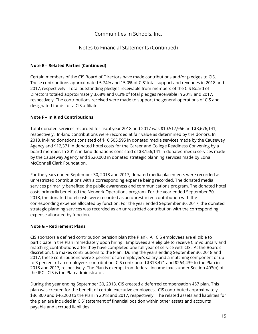# Notes to Financial Statements (Continued)

## **Note E – Related Parties (Continued)**

Certain members of the CIS Board of Directors have made contributions and/or pledges to CIS. These contributions approximated 5.74% and 15.0% of CIS' total support and revenues in 2018 and 2017, respectively. Total outstanding pledges receivable from members of the CIS Board of Directors totaled approximately 3.68% and 0.3% of total pledges receivable in 2018 and 2017, respectively. The contributions received were made to support the general operations of CIS and designated funds for a CIS affiliate.

## **Note F – In Kind Contributions**

Total donated services recorded for fiscal year 2018 and 2017 was \$10,517,966 and \$3,676,141, respectively. In-kind contributions were recorded at fair value as determined by the donors. In 2018, in-kind donations consisted of \$10,505,595 in donated media services made by the Causeway Agency and \$12,371 in donated hotel costs for the Career and College Readiness Convening by a board member. In 2017, in-kind donations consisted of \$3,156,141 in donated media services made by the Causeway Agency and \$520,000 in donated strategic planning services made by Edna McConnell Clark Foundation.

For the years ended September 30, 2018 and 2017, donated media placements were recorded as unrestricted contributions with a corresponding expense being recorded. The donated media services primarily benefited the public awareness and communications program. The donated hotel costs primarily benefited the Network Operations program. For the year ended September 30, 2018, the donated hotel costs were recorded as an unrestricted contribution with the corresponding expense allocated by function. For the year ended September 30, 2017, the donated strategic planning services was recorded as an unrestricted contribution with the corresponding expense allocated by function.

## **Note G – Retirement Plans**

CIS sponsors a defined contribution pension plan (the Plan). All CIS employees are eligible to participate in the Plan immediately upon hiring. Employees are eligible to receive CIS' voluntary and matching contributions after they have completed one full year of service with CIS. At the Board's discretion, CIS makes contributions to the Plan. During the years ending September 30, 2018 and 2017, these contributions were 3 percent of an employee's salary and a matching component of up to 3 percent of an employee's contribution. CIS contributed \$313,471 and \$264,439 to the Plan in 2018 and 2017, respectively. The Plan is exempt from federal income taxes under Section 403(b) of the IRC. CIS is the Plan administrator.

During the year ending September 30, 2013, CIS created a deferred compensation 457 plan. This plan was created for the benefit of certain executive employees. CIS contributed approximately \$36,800 and \$46,200 to the Plan in 2018 and 2017, respectively. The related assets and liabilities for the plan are included in CIS' statement of financial position within other assets and accounts payable and accrued liabilities.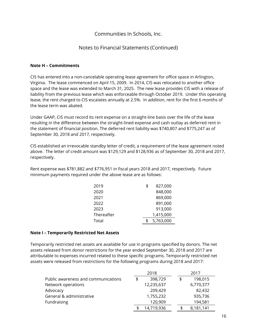# Notes to Financial Statements (Continued)

## **Note H – Commitments**

CIS has entered into a non-cancelable operating lease agreement for office space in Arlington, Virginia. The lease commenced on April 15, 2009. In 2014, CIS was relocated to another office space and the lease was extended to March 31, 2025. The new lease provides CIS with a release of liability from the previous lease which was enforceable through October 2019. Under this operating lease, the rent charged to CIS escalates annually at 2.5%. In addition, rent for the first 6 months of the lease term was abated.

Under GAAP, CIS must record its rent expense on a straight-line basis over the life of the lease resulting in the difference between the straight-lined expense and cash outlay as deferred rent in the statement of financial position. The deferred rent liability was \$740,807 and \$775,247 as of September 30, 2018 and 2017, respectively.

CIS established an irrevocable standby letter of credit, a requirement of the lease agreement noted above. The letter of credit amount was \$129,129 and \$128,936 as of September 30, 2018 and 2017, respectively.

Rent expense was \$781,882 and \$776,951 in fiscal years 2018 and 2017, respectively. Future minimum payments required under the above lease are as follows:

| 2019       | \$<br>827,000 |
|------------|---------------|
| 2020       | 848,000       |
| 2021       | 869,000       |
| 2022       | 891,000       |
| 2023       | 913,000       |
| Thereafter | 1,415,000     |
| Total      | 5,763,000     |
|            |               |

#### **Note I – Temporarily Restricted Net Assets**

Temporarily restricted net assets are available for use in programs specified by donors. The net assets released from donor restrictions for the year ended September 30, 2018 and 2017 are attributable to expenses incurred related to these specific programs. Temporarily restricted net assets were released from restrictions for the following programs during 2018 and 2017:

|                                     | 2018          | 2017      |
|-------------------------------------|---------------|-----------|
| Public awareness and communications | \$<br>398,729 | 198,015   |
| Network operations                  | 12,235,637    | 6,770,377 |
| Advocacy                            | 209,429       | 82,432    |
| General & administrative            | 1,755,232     | 935,736   |
| Fundraising                         | 120,909       | 194,581   |
|                                     | 14,719,936    | 8,181,141 |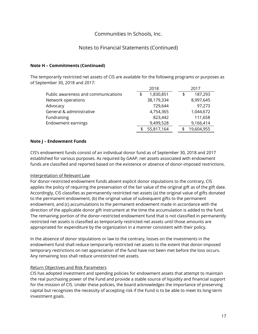# Notes to Financial Statements (Continued)

## **Note H – Commitments (Continued)**

The temporarily restricted net assets of CIS are available for the following programs or purposes as of September 30, 2018 and 2017:

|                                     | 2018            |    | 2017       |
|-------------------------------------|-----------------|----|------------|
| Public awareness and communications | \$<br>1,830,851 | \$ | 187,293    |
| Network operations                  | 38,179,334      |    | 8,997,645  |
| Advocacy                            | 729,644         |    | 97,273     |
| General & administrative            | 4,754,365       |    | 1,044,672  |
| Fundraising                         | 823,442         |    | 111,658    |
| Endowment earnings                  | 9,499,528       |    | 9,166,414  |
|                                     | 55,817,164      |    | 19,604,955 |

#### **Note J – Endowment Funds**

CIS's endowment funds consist of an individual donor fund as of September 30, 2018 and 2017 established for various purposes. As required by GAAP, net assets associated with endowment funds are classified and reported based on the existence or absence of donor-imposed restrictions.

#### Interpretation of Relevant Law

For donor-restricted endowment funds absent explicit donor stipulations to the contrary, CIS applies the policy of requiring the preservation of the fair value of the original gift as of the gift date. Accordingly, CIS classifies as permanently restricted net assets (a) the original value of gifts donated to the permanent endowment, (b) the original value of subsequent gifts to the permanent endowment, and (c) accumulations to the permanent endowment made in accordance with the direction of the applicable donor gift instrument at the time the accumulation is added to the fund. The remaining portion of the donor-restricted endowment fund that is not classified in permanently restricted net assets is classified as temporarily restricted net assets until those amounts are appropriated for expenditure by the organization in a manner consistent with their policy.

In the absence of donor stipulations or law to the contrary, losses on the investments in the endowment fund shall reduce temporarily restricted net assets to the extent that donor-imposed temporary restrictions on net appreciation of the fund have not been met before the loss occurs. Any remaining loss shall reduce unrestricted net assets.

## Return Objectives and Risk Parameters

CIS has adopted investment and spending policies for endowment assets that attempt to maintain the real purchasing power of the Fund and provide a stable source of liquidity and financial support for the mission of CIS. Under these policies, the board acknowledges the importance of preserving capital but recognizes the necessity of accepting risk if the Fund is to be able to meet its long-term investment goals.